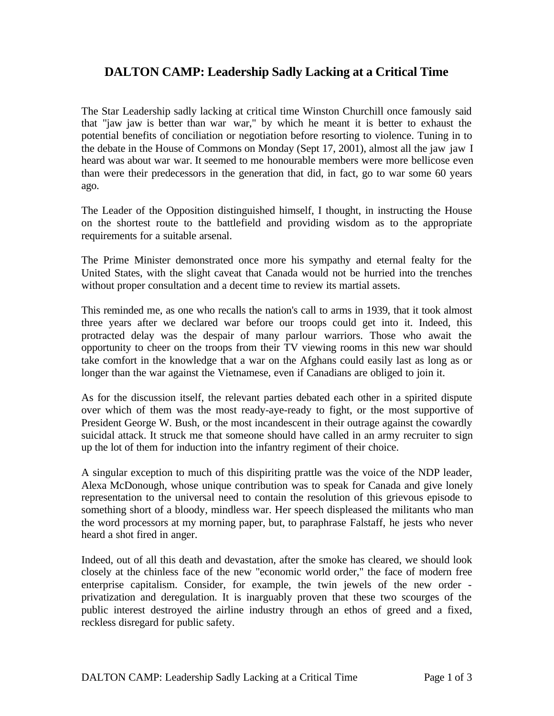## **DALTON CAMP: Leadership Sadly Lacking at a Critical Time**

The Star Leadership sadly lacking at critical time Winston Churchill once famously said that "jaw jaw is better than war war," by which he meant it is better to exhaust the potential benefits of conciliation or negotiation before resorting to violence. Tuning in to the debate in the House of Commons on Monday (Sept 17, 2001), almost all the jaw jaw I heard was about war war. It seemed to me honourable members were more bellicose even than were their predecessors in the generation that did, in fact, go to war some 60 years ago.

The Leader of the Opposition distinguished himself, I thought, in instructing the House on the shortest route to the battlefield and providing wisdom as to the appropriate requirements for a suitable arsenal.

The Prime Minister demonstrated once more his sympathy and eternal fealty for the United States, with the slight caveat that Canada would not be hurried into the trenches without proper consultation and a decent time to review its martial assets.

This reminded me, as one who recalls the nation's call to arms in 1939, that it took almost three years after we declared war before our troops could get into it. Indeed, this protracted delay was the despair of many parlour warriors. Those who await the opportunity to cheer on the troops from their TV viewing rooms in this new war should take comfort in the knowledge that a war on the Afghans could easily last as long as or longer than the war against the Vietnamese, even if Canadians are obliged to join it.

As for the discussion itself, the relevant parties debated each other in a spirited dispute over which of them was the most ready-aye-ready to fight, or the most supportive of President George W. Bush, or the most incandescent in their outrage against the cowardly suicidal attack. It struck me that someone should have called in an army recruiter to sign up the lot of them for induction into the infantry regiment of their choice.

A singular exception to much of this dispiriting prattle was the voice of the NDP leader, Alexa McDonough, whose unique contribution was to speak for Canada and give lonely representation to the universal need to contain the resolution of this grievous episode to something short of a bloody, mindless war. Her speech displeased the militants who man the word processors at my morning paper, but, to paraphrase Falstaff, he jests who never heard a shot fired in anger.

Indeed, out of all this death and devastation, after the smoke has cleared, we should look closely at the chinless face of the new "economic world order," the face of modern free enterprise capitalism. Consider, for example, the twin jewels of the new order privatization and deregulation. It is inarguably proven that these two scourges of the public interest destroyed the airline industry through an ethos of greed and a fixed, reckless disregard for public safety.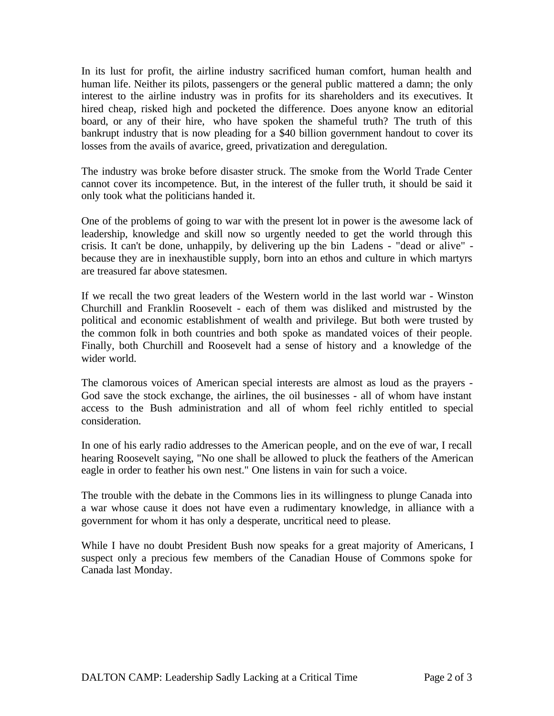In its lust for profit, the airline industry sacrificed human comfort, human health and human life. Neither its pilots, passengers or the general public mattered a damn; the only interest to the airline industry was in profits for its shareholders and its executives. It hired cheap, risked high and pocketed the difference. Does anyone know an editorial board, or any of their hire, who have spoken the shameful truth? The truth of this bankrupt industry that is now pleading for a \$40 billion government handout to cover its losses from the avails of avarice, greed, privatization and deregulation.

The industry was broke before disaster struck. The smoke from the World Trade Center cannot cover its incompetence. But, in the interest of the fuller truth, it should be said it only took what the politicians handed it.

One of the problems of going to war with the present lot in power is the awesome lack of leadership, knowledge and skill now so urgently needed to get the world through this crisis. It can't be done, unhappily, by delivering up the bin Ladens - "dead or alive" because they are in inexhaustible supply, born into an ethos and culture in which martyrs are treasured far above statesmen.

If we recall the two great leaders of the Western world in the last world war - Winston Churchill and Franklin Roosevelt - each of them was disliked and mistrusted by the political and economic establishment of wealth and privilege. But both were trusted by the common folk in both countries and both spoke as mandated voices of their people. Finally, both Churchill and Roosevelt had a sense of history and a knowledge of the wider world.

The clamorous voices of American special interests are almost as loud as the prayers - God save the stock exchange, the airlines, the oil businesses - all of whom have instant access to the Bush administration and all of whom feel richly entitled to special consideration.

In one of his early radio addresses to the American people, and on the eve of war, I recall hearing Roosevelt saying, "No one shall be allowed to pluck the feathers of the American eagle in order to feather his own nest." One listens in vain for such a voice.

The trouble with the debate in the Commons lies in its willingness to plunge Canada into a war whose cause it does not have even a rudimentary knowledge, in alliance with a government for whom it has only a desperate, uncritical need to please.

While I have no doubt President Bush now speaks for a great majority of Americans, I suspect only a precious few members of the Canadian House of Commons spoke for Canada last Monday.